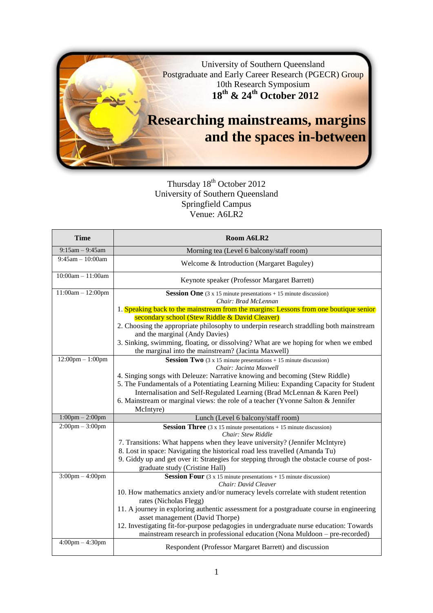

# Thursday 18<sup>th</sup> October 2012 University of Southern Queensland Springfield Campus Venue: A6LR2

| <b>Time</b>                        | Room A6LR2                                                                                                                                                  |
|------------------------------------|-------------------------------------------------------------------------------------------------------------------------------------------------------------|
| $9:15am - 9:45am$                  | Morning tea (Level 6 balcony/staff room)                                                                                                                    |
| $9:45$ am $-10:00$ am              | Welcome & Introduction (Margaret Baguley)                                                                                                                   |
| $10:00am - 11:00am$                | Keynote speaker (Professor Margaret Barrett)                                                                                                                |
| $11:00am - 12:00pm$                | <b>Session One</b> $(3 \times 15 \text{ minute presentations} + 15 \text{ minute discussion})$<br>Chair: Brad McLennan                                      |
|                                    | 1. Speaking back to the mainstream from the margins: Lessons from one boutique senior                                                                       |
|                                    | secondary school (Stew Riddle & David Cleaver)                                                                                                              |
|                                    | 2. Choosing the appropriate philosophy to underpin research straddling both mainstream<br>and the marginal (Andy Davies)                                    |
|                                    | 3. Sinking, swimming, floating, or dissolving? What are we hoping for when we embed                                                                         |
|                                    | the marginal into the mainstream? (Jacinta Maxwell)                                                                                                         |
| $12:00 \text{pm} - 1:00 \text{pm}$ | <b>Session Two</b> $(3 \times 15 \text{ minute presentations} + 15 \text{ minute discussion})$<br>Chair: Jacinta Maxwell                                    |
|                                    | 4. Singing songs with Deleuze: Narrative knowing and becoming (Stew Riddle)                                                                                 |
|                                    | 5. The Fundamentals of a Potentiating Learning Milieu: Expanding Capacity for Student                                                                       |
|                                    | Internalisation and Self-Regulated Learning (Brad McLennan & Karen Peel)                                                                                    |
|                                    | 6. Mainstream or marginal views: the role of a teacher (Yvonne Salton & Jennifer<br>McIntyre)                                                               |
| $1:00$ pm $- 2:00$ pm              | Lunch (Level 6 balcony/staff room)                                                                                                                          |
| $2:00 \text{pm} - 3:00 \text{pm}$  | <b>Session Three</b> $(3 \times 15 \text{ minute presentations} + 15 \text{ minute discussion})$                                                            |
|                                    | Chair: Stew Riddle                                                                                                                                          |
|                                    | 7. Transitions: What happens when they leave university? (Jennifer McIntyre)<br>8. Lost in space: Navigating the historical road less travelled (Amanda Tu) |
|                                    | 9. Giddy up and get over it: Strategies for stepping through the obstacle course of post-                                                                   |
|                                    | graduate study (Cristine Hall)                                                                                                                              |
| $3:00 \text{pm} - 4:00 \text{pm}$  | <b>Session Four</b> $(3 \times 15 \text{ minute presentations} + 15 \text{ minute discussion})$                                                             |
|                                    | Chair: David Cleaver<br>10. How mathematics anxiety and/or numeracy levels correlate with student retention                                                 |
|                                    | rates (Nicholas Flegg)                                                                                                                                      |
|                                    | 11. A journey in exploring authentic assessment for a postgraduate course in engineering                                                                    |
|                                    | asset management (David Thorpe)                                                                                                                             |
|                                    | 12. Investigating fit-for-purpose pedagogies in undergraduate nurse education: Towards                                                                      |
|                                    | mainstream research in professional education (Nona Muldoon – pre-recorded)                                                                                 |
| $4:00 \text{pm} - 4:30 \text{pm}$  | Respondent (Professor Margaret Barrett) and discussion                                                                                                      |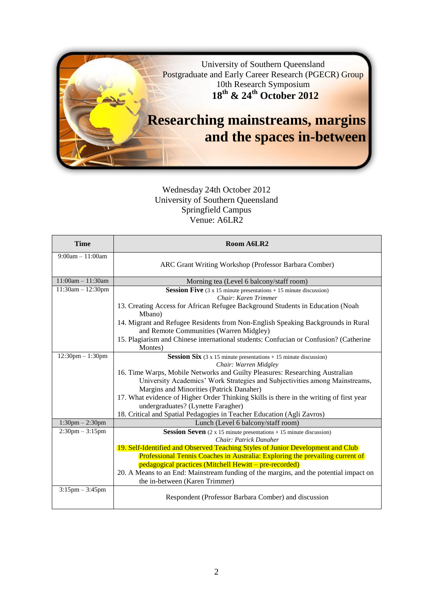

## Wednesday 24th October 2012 University of Southern Queensland Springfield Campus Venue: A6LR2

| <b>Time</b>            | Room A6LR2                                                                                                                  |
|------------------------|-----------------------------------------------------------------------------------------------------------------------------|
| $9:00am - 11:00am$     |                                                                                                                             |
|                        | ARC Grant Writing Workshop (Professor Barbara Comber)                                                                       |
| $11:00am - 11:30am$    |                                                                                                                             |
| $11:30am - 12:30pm$    | Morning tea (Level 6 balcony/staff room)                                                                                    |
|                        | <b>Session Five</b> $(3 \times 15 \text{ minute presentations} + 15 \text{ minute discussion})$<br>Chair: Karen Trimmer     |
|                        |                                                                                                                             |
|                        | 13. Creating Access for African Refugee Background Students in Education (Noah<br>Mbano)                                    |
|                        | 14. Migrant and Refugee Residents from Non-English Speaking Backgrounds in Rural<br>and Remote Communities (Warren Midgley) |
|                        | 15. Plagiarism and Chinese international students: Confucian or Confusion? (Catherine                                       |
|                        | Montes)                                                                                                                     |
| $12:30$ pm $- 1:30$ pm | <b>Session Six</b> $(3 \times 15 \text{ minute presentations} + 15 \text{ minute discussion})$                              |
|                        | Chair: Warren Midgley                                                                                                       |
|                        | 16. Time Warps, Mobile Networks and Guilty Pleasures: Researching Australian                                                |
|                        | University Academics' Work Strategies and Subjectivities among Mainstreams,                                                 |
|                        | Margins and Minorities (Patrick Danaher)                                                                                    |
|                        | 17. What evidence of Higher Order Thinking Skills is there in the writing of first year                                     |
|                        | undergraduates? (Lynette Faragher)                                                                                          |
|                        | 18. Critical and Spatial Pedagogies in Teacher Education (Agli Zavros)                                                      |
| $1:30$ pm $- 2:30$ pm  | Lunch (Level 6 balcony/staff room)                                                                                          |
| $2:30$ pm $-3:15$ pm   | <b>Session Seven</b> $(2 \times 15 \text{ minute presentations} + 15 \text{ minute discussion})$                            |
|                        | Chair: Patrick Danaher                                                                                                      |
|                        | 19. Self-Identified and Observed Teaching Styles of Junior Development and Club                                             |
|                        | Professional Tennis Coaches in Australia: Exploring the prevailing current of                                               |
|                        | pedagogical practices (Mitchell Hewitt – pre-recorded)                                                                      |
|                        | 20. A Means to an End: Mainstream funding of the margins, and the potential impact on                                       |
|                        | the in-between (Karen Trimmer)                                                                                              |
| $3:15$ pm $-3:45$ pm   |                                                                                                                             |
|                        | Respondent (Professor Barbara Comber) and discussion                                                                        |
|                        |                                                                                                                             |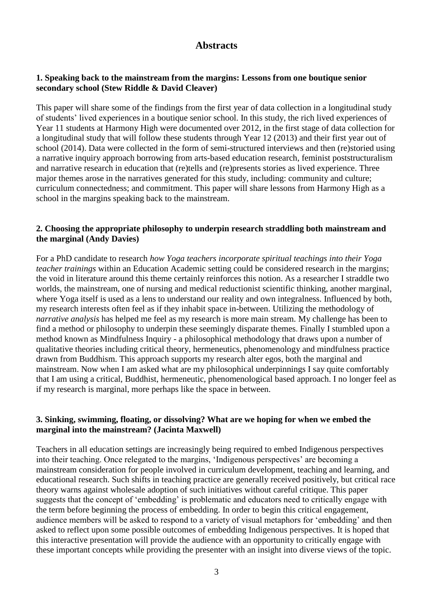# **Abstracts**

#### **1. Speaking back to the mainstream from the margins: Lessons from one boutique senior secondary school (Stew Riddle & David Cleaver)**

This paper will share some of the findings from the first year of data collection in a longitudinal study of students' lived experiences in a boutique senior school. In this study, the rich lived experiences of Year 11 students at Harmony High were documented over 2012, in the first stage of data collection for a longitudinal study that will follow these students through Year 12 (2013) and their first year out of school (2014). Data were collected in the form of semi-structured interviews and then (re)storied using a narrative inquiry approach borrowing from arts-based education research, feminist poststructuralism and narrative research in education that (re)tells and (re)presents stories as lived experience. Three major themes arose in the narratives generated for this study, including: community and culture; curriculum connectedness; and commitment. This paper will share lessons from Harmony High as a school in the margins speaking back to the mainstream.

#### **2. Choosing the appropriate philosophy to underpin research straddling both mainstream and the marginal (Andy Davies)**

For a PhD candidate to research *how Yoga teachers incorporate spiritual teachings into their Yoga teacher trainings* within an Education Academic setting could be considered research in the margins; the void in literature around this theme certainly reinforces this notion. As a researcher I straddle two worlds, the mainstream, one of nursing and medical reductionist scientific thinking, another marginal, where Yoga itself is used as a lens to understand our reality and own integralness. Influenced by both, my research interests often feel as if they inhabit space in-between. Utilizing the methodology of *narrative analysis* has helped me feel as my research is more main stream. My challenge has been to find a method or philosophy to underpin these seemingly disparate themes. Finally I stumbled upon a method known as Mindfulness Inquiry - a philosophical methodology that draws upon a number of qualitative theories including critical theory, hermeneutics, phenomenology and mindfulness practice drawn from Buddhism. This approach supports my research alter egos, both the marginal and mainstream. Now when I am asked what are my philosophical underpinnings I say quite comfortably that I am using a critical, Buddhist, hermeneutic, phenomenological based approach. I no longer feel as if my research is marginal, more perhaps like the space in between.

#### **3. Sinking, swimming, floating, or dissolving? What are we hoping for when we embed the marginal into the mainstream? (Jacinta Maxwell)**

Teachers in all education settings are increasingly being required to embed Indigenous perspectives into their teaching. Once relegated to the margins, 'Indigenous perspectives' are becoming a mainstream consideration for people involved in curriculum development, teaching and learning, and educational research. Such shifts in teaching practice are generally received positively, but critical race theory warns against wholesale adoption of such initiatives without careful critique. This paper suggests that the concept of 'embedding' is problematic and educators need to critically engage with the term before beginning the process of embedding. In order to begin this critical engagement, audience members will be asked to respond to a variety of visual metaphors for 'embedding' and then asked to reflect upon some possible outcomes of embedding Indigenous perspectives. It is hoped that this interactive presentation will provide the audience with an opportunity to critically engage with these important concepts while providing the presenter with an insight into diverse views of the topic.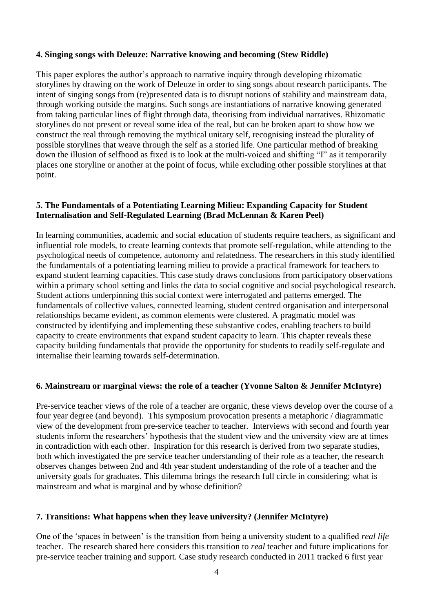## **4. Singing songs with Deleuze: Narrative knowing and becoming (Stew Riddle)**

This paper explores the author's approach to narrative inquiry through developing rhizomatic storylines by drawing on the work of Deleuze in order to sing songs about research participants. The intent of singing songs from (re)presented data is to disrupt notions of stability and mainstream data, through working outside the margins. Such songs are instantiations of narrative knowing generated from taking particular lines of flight through data, theorising from individual narratives. Rhizomatic storylines do not present or reveal some idea of the real, but can be broken apart to show how we construct the real through removing the mythical unitary self, recognising instead the plurality of possible storylines that weave through the self as a storied life. One particular method of breaking down the illusion of selfhood as fixed is to look at the multi-voiced and shifting "I" as it temporarily places one storyline or another at the point of focus, while excluding other possible storylines at that point.

## **5. The Fundamentals of a Potentiating Learning Milieu: Expanding Capacity for Student Internalisation and Self-Regulated Learning (Brad McLennan & Karen Peel)**

In learning communities, academic and social education of students require teachers, as significant and influential role models, to create learning contexts that promote self-regulation, while attending to the psychological needs of competence, autonomy and relatedness. The researchers in this study identified the fundamentals of a potentiating learning milieu to provide a practical framework for teachers to expand student learning capacities. This case study draws conclusions from participatory observations within a primary school setting and links the data to social cognitive and social psychological research. Student actions underpinning this social context were interrogated and patterns emerged. The fundamentals of collective values, connected learning, student centred organisation and interpersonal relationships became evident, as common elements were clustered. A pragmatic model was constructed by identifying and implementing these substantive codes, enabling teachers to build capacity to create environments that expand student capacity to learn. This chapter reveals these capacity building fundamentals that provide the opportunity for students to readily self-regulate and internalise their learning towards self-determination.

#### **6. Mainstream or marginal views: the role of a teacher (Yvonne Salton & Jennifer McIntyre)**

Pre-service teacher views of the role of a teacher are organic, these views develop over the course of a four year degree (and beyond). This symposium provocation presents a metaphoric / diagrammatic view of the development from pre-service teacher to teacher. Interviews with second and fourth year students inform the researchers' hypothesis that the student view and the university view are at times in contradiction with each other. Inspiration for this research is derived from two separate studies, both which investigated the pre service teacher understanding of their role as a teacher, the research observes changes between 2nd and 4th year student understanding of the role of a teacher and the university goals for graduates. This dilemma brings the research full circle in considering; what is mainstream and what is marginal and by whose definition?

#### **7. Transitions: What happens when they leave university? (Jennifer McIntyre)**

One of the 'spaces in between' is the transition from being a university student to a qualified *real life* teacher. The research shared here considers this transition to *real* teacher and future implications for pre-service teacher training and support. Case study research conducted in 2011 tracked 6 first year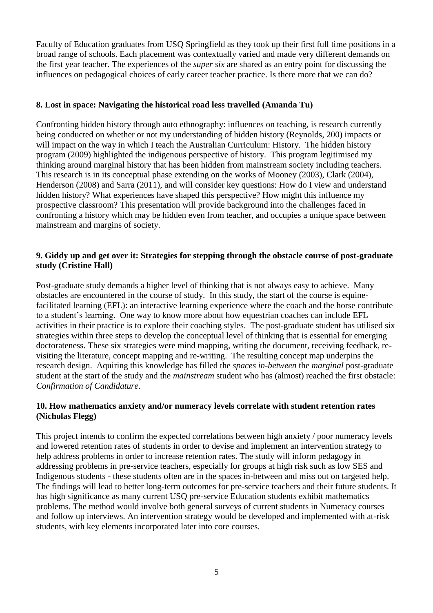Faculty of Education graduates from USQ Springfield as they took up their first full time positions in a broad range of schools. Each placement was contextually varied and made very different demands on the first year teacher. The experiences of the *super six* are shared as an entry point for discussing the influences on pedagogical choices of early career teacher practice. Is there more that we can do?

## **8. Lost in space: Navigating the historical road less travelled (Amanda Tu)**

Confronting hidden history through auto ethnography: influences on teaching, is research currently being conducted on whether or not my understanding of hidden history (Reynolds, 200) impacts or will impact on the way in which I teach the Australian Curriculum: History. The hidden history program (2009) highlighted the indigenous perspective of history. This program legitimised my thinking around marginal history that has been hidden from mainstream society including teachers. This research is in its conceptual phase extending on the works of Mooney (2003), Clark (2004), Henderson (2008) and Sarra (2011), and will consider key questions: How do I view and understand hidden history? What experiences have shaped this perspective? How might this influence my prospective classroom? This presentation will provide background into the challenges faced in confronting a history which may be hidden even from teacher, and occupies a unique space between mainstream and margins of society.

## **9. Giddy up and get over it: Strategies for stepping through the obstacle course of post-graduate study (Cristine Hall)**

Post-graduate study demands a higher level of thinking that is not always easy to achieve. Many obstacles are encountered in the course of study. In this study, the start of the course is equinefacilitated learning (EFL): an interactive learning experience where the coach and the horse contribute to a student's learning. One way to know more about how equestrian coaches can include EFL activities in their practice is to explore their coaching styles. The post-graduate student has utilised six strategies within three steps to develop the conceptual level of thinking that is essential for emerging doctorateness. These six strategies were mind mapping, writing the document, receiving feedback, revisiting the literature, concept mapping and re-writing. The resulting concept map underpins the research design. Aquiring this knowledge has filled the *spaces in-between* the *marginal* post-graduate student at the start of the study and the *mainstream* student who has (almost) reached the first obstacle: *Confirmation of Candidature*.

## **10. How mathematics anxiety and/or numeracy levels correlate with student retention rates (Nicholas Flegg)**

This project intends to confirm the expected correlations between high anxiety / poor numeracy levels and lowered retention rates of students in order to devise and implement an intervention strategy to help address problems in order to increase retention rates. The study will inform pedagogy in addressing problems in pre-service teachers, especially for groups at high risk such as low SES and Indigenous students - these students often are in the spaces in-between and miss out on targeted help. The findings will lead to better long-term outcomes for pre-service teachers and their future students. It has high significance as many current USQ pre-service Education students exhibit mathematics problems. The method would involve both general surveys of current students in Numeracy courses and follow up interviews. An intervention strategy would be developed and implemented with at-risk students, with key elements incorporated later into core courses.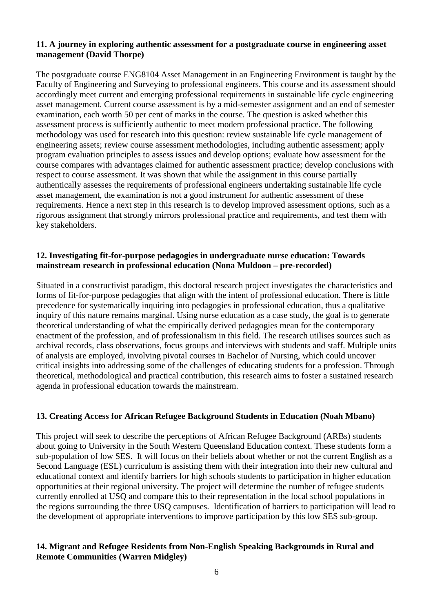### **11. A journey in exploring authentic assessment for a postgraduate course in engineering asset management (David Thorpe)**

The postgraduate course ENG8104 Asset Management in an Engineering Environment is taught by the Faculty of Engineering and Surveying to professional engineers. This course and its assessment should accordingly meet current and emerging professional requirements in sustainable life cycle engineering asset management. Current course assessment is by a mid-semester assignment and an end of semester examination, each worth 50 per cent of marks in the course. The question is asked whether this assessment process is sufficiently authentic to meet modern professional practice. The following methodology was used for research into this question: review sustainable life cycle management of engineering assets; review course assessment methodologies, including authentic assessment; apply program evaluation principles to assess issues and develop options; evaluate how assessment for the course compares with advantages claimed for authentic assessment practice; develop conclusions with respect to course assessment. It was shown that while the assignment in this course partially authentically assesses the requirements of professional engineers undertaking sustainable life cycle asset management, the examination is not a good instrument for authentic assessment of these requirements. Hence a next step in this research is to develop improved assessment options, such as a rigorous assignment that strongly mirrors professional practice and requirements, and test them with key stakeholders.

## **12. Investigating fit-for-purpose pedagogies in undergraduate nurse education: Towards mainstream research in professional education (Nona Muldoon – pre-recorded)**

Situated in a constructivist paradigm, this doctoral research project investigates the characteristics and forms of fit-for-purpose pedagogies that align with the intent of professional education. There is little precedence for systematically inquiring into pedagogies in professional education, thus a qualitative inquiry of this nature remains marginal. Using nurse education as a case study, the goal is to generate theoretical understanding of what the empirically derived pedagogies mean for the contemporary enactment of the profession, and of professionalism in this field. The research utilises sources such as archival records, class observations, focus groups and interviews with students and staff. Multiple units of analysis are employed, involving pivotal courses in Bachelor of Nursing, which could uncover critical insights into addressing some of the challenges of educating students for a profession. Through theoretical, methodological and practical contribution, this research aims to foster a sustained research agenda in professional education towards the mainstream.

## **13. Creating Access for African Refugee Background Students in Education (Noah Mbano)**

This project will seek to describe the perceptions of African Refugee Background (ARBs) students about going to University in the South Western Queensland Education context. These students form a sub-population of low SES. It will focus on their beliefs about whether or not the current English as a Second Language (ESL) curriculum is assisting them with their integration into their new cultural and educational context and identify barriers for high schools students to participation in higher education opportunities at their regional university. The project will determine the number of refugee students currently enrolled at USQ and compare this to their representation in the local school populations in the regions surrounding the three USQ campuses. Identification of barriers to participation will lead to the development of appropriate interventions to improve participation by this low SES sub-group.

## **14. Migrant and Refugee Residents from Non-English Speaking Backgrounds in Rural and Remote Communities (Warren Midgley)**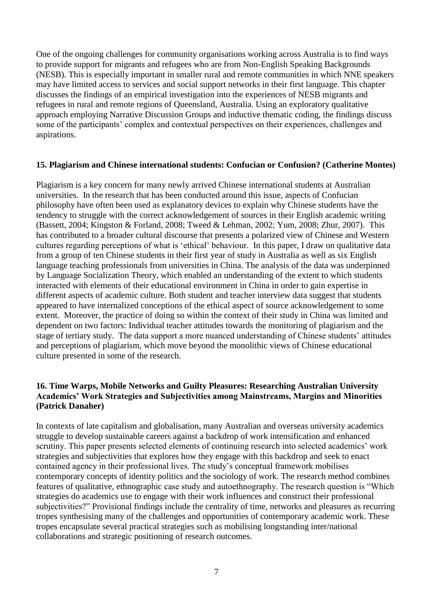One of the ongoing challenges for community organisations working across Australia is to find ways to provide support for migrants and refugees who are from Non-English Speaking Backgrounds (NESB). This is especially important in smaller rural and remote communities in which NNE speakers may have limited access to services and social support networks in their first language. This chapter discusses the findings of an empirical investigation into the experiences of NESB migrants and refugees in rural and remote regions of Queensland, Australia. Using an exploratory qualitative approach employing Narrative Discussion Groups and inductive thematic coding, the findings discuss some of the participants' complex and contextual perspectives on their experiences, challenges and aspirations.

#### **15. Plagiarism and Chinese international students: Confucian or Confusion? (Catherine Montes)**

Plagiarism is a key concern for many newly arrived Chinese international students at Australian universities. In the research that has been conducted around this issue, aspects of Confucian philosophy have often been used as explanatory devices to explain why Chinese students have the tendency to struggle with the correct acknowledgement of sources in their English academic writing (Bassett, 2004; Kingston & Forland, 2008; Tweed & Lehman, 2002; Yum, 2008; Zhur, 2007). This has contributed to a broader cultural discourse that presents a polarized view of Chinese and Western cultures regarding perceptions of what is 'ethical' behaviour. In this paper, I draw on qualitative data from a group of ten Chinese students in their first year of study in Australia as well as six English language teaching professionals from universities in China. The analysis of the data was underpinned by Language Socialization Theory, which enabled an understanding of the extent to which students interacted with elements of their educational environment in China in order to gain expertise in different aspects of academic culture. Both student and teacher interview data suggest that students appeared to have internalized conceptions of the ethical aspect of source acknowledgement to some extent. Moreover, the practice of doing so within the context of their study in China was limited and dependent on two factors: Individual teacher attitudes towards the monitoring of plagiarism and the stage of tertiary study. The data support a more nuanced understanding of Chinese students' attitudes and perceptions of plagiarism, which move beyond the monolithic views of Chinese educational culture presented in some of the research.

## **16. Time Warps, Mobile Networks and Guilty Pleasures: Researching Australian University Academics' Work Strategies and Subjectivities among Mainstreams, Margins and Minorities (Patrick Danaher)**

In contexts of late capitalism and globalisation, many Australian and overseas university academics struggle to develop sustainable careers against a backdrop of work intensification and enhanced scrutiny. This paper presents selected elements of continuing research into selected academics' work strategies and subjectivities that explores how they engage with this backdrop and seek to enact contained agency in their professional lives. The study's conceptual framework mobilises contemporary concepts of identity politics and the sociology of work. The research method combines features of qualitative, ethnographic case study and autoethnography. The research question is "Which strategies do academics use to engage with their work influences and construct their professional subjectivities?" Provisional findings include the centrality of time, networks and pleasures as recurring tropes synthesising many of the challenges and opportunities of contemporary academic work. These tropes encapsulate several practical strategies such as mobilising longstanding inter/national collaborations and strategic positioning of research outcomes.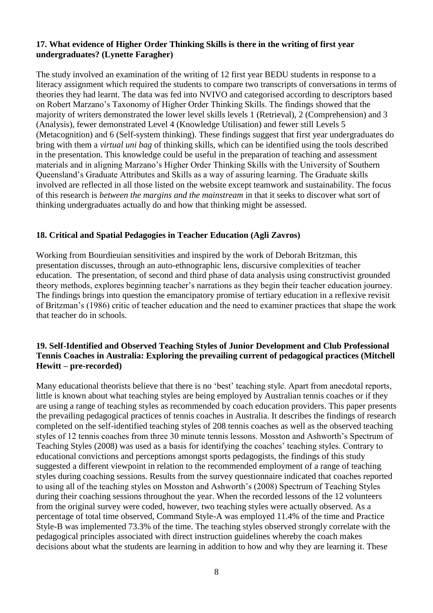## **17. What evidence of Higher Order Thinking Skills is there in the writing of first year undergraduates? (Lynette Faragher)**

The study involved an examination of the writing of 12 first year BEDU students in response to a literacy assignment which required the students to compare two transcripts of conversations in terms of theories they had learnt. The data was fed into NVIVO and categorised according to descriptors based on Robert Marzano's Taxonomy of Higher Order Thinking Skills. The findings showed that the majority of writers demonstrated the lower level skills levels 1 (Retrieval), 2 (Comprehension) and 3 (Analysis), fewer demonstrated Level 4 (Knowledge Utilisation) and fewer still Levels 5 (Metacognition) and 6 (Self-system thinking). These findings suggest that first year undergraduates do bring with them a *virtual uni bag* of thinking skills, which can be identified using the tools described in the presentation. This knowledge could be useful in the preparation of teaching and assessment materials and in aligning Marzano's Higher Order Thinking Skills with the University of Southern Queensland's Graduate Attributes and Skills as a way of assuring learning. The Graduate skills involved are reflected in all those listed on the website except teamwork and sustainability. The focus of this research is *between the margins and the mainstream* in that it seeks to discover what sort of thinking undergraduates actually do and how that thinking might be assessed.

## **18. Critical and Spatial Pedagogies in Teacher Education (Agli Zavros)**

Working from Bourdieuian sensitivities and inspired by the work of Deborah Britzman, this presentation discusses, through an auto-ethnographic lens, discursive complexities of teacher education. The presentation, of second and third phase of data analysis using constructivist grounded theory methods, explores beginning teacher's narrations as they begin their teacher education journey. The findings brings into question the emancipatory promise of tertiary education in a reflexive revisit of Britzman's (1986) critic of teacher education and the need to examiner practices that shape the work that teacher do in schools.

### **19. Self-Identified and Observed Teaching Styles of Junior Development and Club Professional Tennis Coaches in Australia: Exploring the prevailing current of pedagogical practices (Mitchell Hewitt – pre-recorded)**

Many educational theorists believe that there is no 'best' teaching style. Apart from anecdotal reports, little is known about what teaching styles are being employed by Australian tennis coaches or if they are using a range of teaching styles as recommended by coach education providers. This paper presents the prevailing pedagogical practices of tennis coaches in Australia. It describes the findings of research completed on the self-identified teaching styles of 208 tennis coaches as well as the observed teaching styles of 12 tennis coaches from three 30 minute tennis lessons. Mosston and Ashworth's Spectrum of Teaching Styles (2008) was used as a basis for identifying the coaches' teaching styles. Contrary to educational convictions and perceptions amongst sports pedagogists, the findings of this study suggested a different viewpoint in relation to the recommended employment of a range of teaching styles during coaching sessions. Results from the survey questionnaire indicated that coaches reported to using all of the teaching styles on Mosston and Ashworth's (2008) Spectrum of Teaching Styles during their coaching sessions throughout the year. When the recorded lessons of the 12 volunteers from the original survey were coded, however, two teaching styles were actually observed. As a percentage of total time observed, Command Style-A was employed 11.4% of the time and Practice Style-B was implemented 73.3% of the time. The teaching styles observed strongly correlate with the pedagogical principles associated with direct instruction guidelines whereby the coach makes decisions about what the students are learning in addition to how and why they are learning it. These